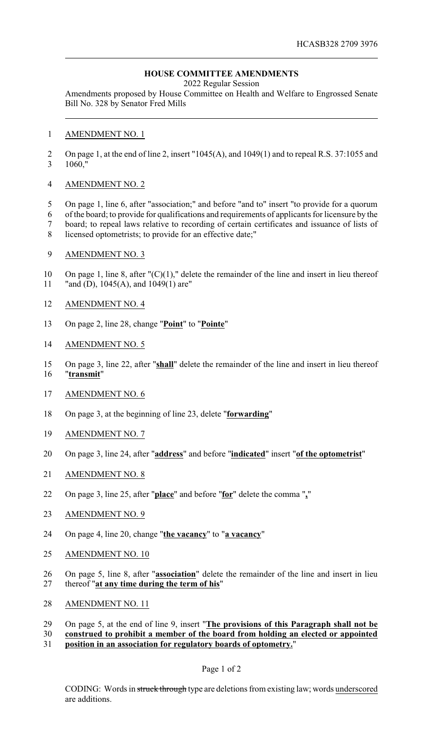# **HOUSE COMMITTEE AMENDMENTS**

2022 Regular Session

Amendments proposed by House Committee on Health and Welfare to Engrossed Senate Bill No. 328 by Senator Fred Mills

### AMENDMENT NO. 1

2 On page 1, at the end of line 2, insert "1045(A), and 1049(1) and to repeal R.S. 37:1055 and 1060,"

### AMENDMENT NO. 2

 On page 1, line 6, after "association;" and before "and to" insert "to provide for a quorum of the board; to provide for qualifications and requirements of applicants for licensure by the board; to repeal laws relative to recording of certain certificates and issuance of lists of

licensed optometrists; to provide for an effective date;"

## AMENDMENT NO. 3

 On page 1, line 8, after "(C)(1)," delete the remainder of the line and insert in lieu thereof "and (D), 1045(A), and 1049(1) are"

## AMENDMENT NO. 4

On page 2, line 28, change "**Point**" to "**Pointe**"

### AMENDMENT NO. 5

 On page 3, line 22, after "**shall**" delete the remainder of the line and insert in lieu thereof "**transmit**"

## AMENDMENT NO. 6

- On page 3, at the beginning of line 23, delete "**forwarding**"
- AMENDMENT NO. 7
- On page 3, line 24, after "**address**" and before "**indicated**" insert "**of the optometrist**"
- AMENDMENT NO. 8
- On page 3, line 25, after "**place**" and before "**for**" delete the comma "**,**"

#### AMENDMENT NO. 9

- On page 4, line 20, change "**the vacancy**" to "**a vacancy**"
- AMENDMENT NO. 10
- On page 5, line 8, after "**association**" delete the remainder of the line and insert in lieu thereof "**at any time during the term of his**"
- 28 AMENDMENT NO. 11
- On page 5, at the end of line 9, insert "**The provisions of this Paragraph shall not be**
- **construed to prohibit a member of the board from holding an elected or appointed**
- **position in an association for regulatory boards of optometry.**"

#### Page 1 of 2

CODING: Words in struck through type are deletions from existing law; words underscored are additions.